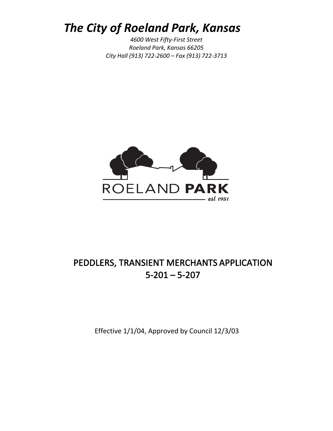## *The City of Roeland Park, Kansas*

*4600 West Fifty-First Street Roeland Park, Kansas 66205 City Hall (913) 722-2600 – Fax (913) 722-3713*



### PEDDLERS, TRANSIENT MERCHANTS APPLICATION 5-201 – 5-207

Effective 1/1/04, Approved by Council 12/3/03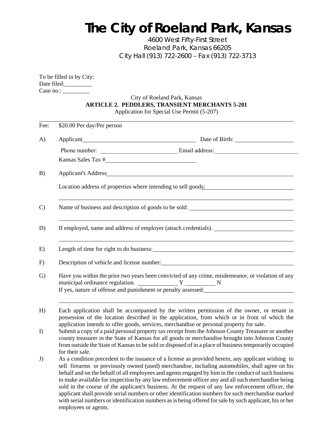# *The City of Roeland Park, Kansas*

*4600 West Fifty-First Street Roeland Park, Kansas 66205 City Hall (913) 722-2600 – Fax (913) 722-3713*

| To be filled in by City: |
|--------------------------|
| Date filed:              |
| Case no.:                |

### City of Roeland Park, Kansas **ARTICLE 2. PEDDLERS, TRANSIENT MERCHANTS 5-201** Application for Special Use Permit (5-207)

| Fee:          | \$20.00 Per day/Per person                                                                                                                                                                                                                                                                                                                                                                                                                                                                                                                                                                                                                                                                                                                                                            |  |  |  |  |
|---------------|---------------------------------------------------------------------------------------------------------------------------------------------------------------------------------------------------------------------------------------------------------------------------------------------------------------------------------------------------------------------------------------------------------------------------------------------------------------------------------------------------------------------------------------------------------------------------------------------------------------------------------------------------------------------------------------------------------------------------------------------------------------------------------------|--|--|--|--|
| A)            |                                                                                                                                                                                                                                                                                                                                                                                                                                                                                                                                                                                                                                                                                                                                                                                       |  |  |  |  |
|               |                                                                                                                                                                                                                                                                                                                                                                                                                                                                                                                                                                                                                                                                                                                                                                                       |  |  |  |  |
|               | Kansas Sales Tax #                                                                                                                                                                                                                                                                                                                                                                                                                                                                                                                                                                                                                                                                                                                                                                    |  |  |  |  |
| B)            | Applicant's Address <b>Exercísies Applicant's</b> Address <b>Applicant</b> 's <b>Address Applicant</b> 's <b>Address</b>                                                                                                                                                                                                                                                                                                                                                                                                                                                                                                                                                                                                                                                              |  |  |  |  |
|               | Location address of properties where intending to sell goods:                                                                                                                                                                                                                                                                                                                                                                                                                                                                                                                                                                                                                                                                                                                         |  |  |  |  |
| $\mathcal{C}$ |                                                                                                                                                                                                                                                                                                                                                                                                                                                                                                                                                                                                                                                                                                                                                                                       |  |  |  |  |
| D)            | If employed, name and address of employer (attach credentials).                                                                                                                                                                                                                                                                                                                                                                                                                                                                                                                                                                                                                                                                                                                       |  |  |  |  |
| E)            | Length of time for right to do business: Universe of the state of the state of the state of the state of the state of the state of the state of the state of the state of the state of the state of the state of the state of                                                                                                                                                                                                                                                                                                                                                                                                                                                                                                                                                         |  |  |  |  |
| F)            | Description of vehicle and license number:                                                                                                                                                                                                                                                                                                                                                                                                                                                                                                                                                                                                                                                                                                                                            |  |  |  |  |
| $\mathcal{G}$ | Have you within the prior two years been convicted of any crime, misdemeanor, or violation of any<br>If yes, nature of offense and punishment or penalty assessed:                                                                                                                                                                                                                                                                                                                                                                                                                                                                                                                                                                                                                    |  |  |  |  |
| H)            | Each application shall be accompanied by the written permission of the owner, or tenant in<br>possession of the location described in the application, from which or in front of which the<br>application intends to offer goods, services, merchandise or personal property for sale.                                                                                                                                                                                                                                                                                                                                                                                                                                                                                                |  |  |  |  |
| I)            | Submit a copy of a paid personal property tax receipt from the Johnson County Treasurer or another<br>county treasurer in the State of Kansas for all goods or merchandise brought into Johnson County<br>from outside the State of Kansas to be sold or disposed of in a place of business temporarily occupied                                                                                                                                                                                                                                                                                                                                                                                                                                                                      |  |  |  |  |
| J)            | for their sale.<br>As a condition precedent to the issuance of a license as provided herein, any applicant wishing to<br>sell firearms or previously owned (used) merchandise, including automobiles, shall agree on his<br>behalf and on the behalf of all employees and agents engaged by him in the conduct of such business<br>to make available for inspection by any law enforcement officer any and all such merchandise being<br>sold in the course of the applicant's business. At the request of any law enforcement officer, the<br>applicant shall provide serial numbers or other identification numbers for such merchandise marked<br>with serial numbers or identification numbers as is being offered for sale by such applicant, his or her<br>employees or agents. |  |  |  |  |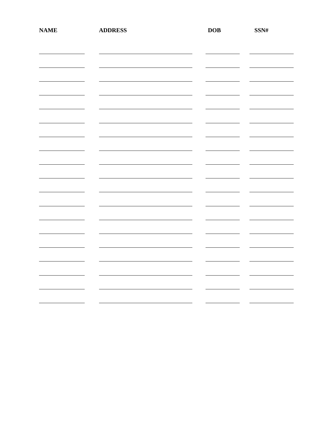| <b>NAME</b> | <b>ADDRESS</b> | DOB | $SSN\#$ |
|-------------|----------------|-----|---------|
|             |                |     |         |
|             |                |     |         |
|             |                |     |         |
|             |                |     |         |
|             |                |     |         |
|             |                |     |         |
|             |                |     |         |
|             |                |     |         |
|             |                |     |         |
|             |                |     |         |
|             |                |     |         |
|             |                |     |         |
|             |                |     |         |
|             |                |     |         |
|             |                |     |         |
|             |                |     |         |
|             |                |     |         |
|             |                |     |         |
|             |                |     |         |
|             |                |     |         |
|             |                |     |         |
|             |                |     |         |
|             |                |     |         |
|             |                |     |         |
|             |                |     |         |
|             |                |     |         |
|             |                |     |         |
|             |                |     |         |
|             |                |     |         |
|             |                |     |         |
|             |                |     |         |
|             |                |     |         |
|             |                |     |         |
|             |                |     |         |
|             |                |     |         |
|             |                |     |         |
|             |                |     |         |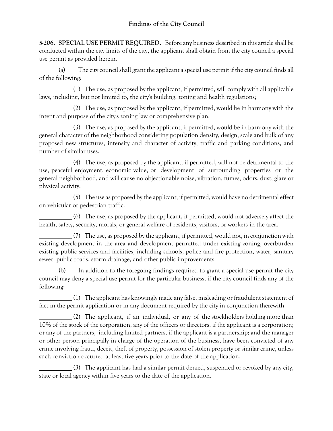**5-206. SPECIAL USE PERMIT REQUIRED.** Before any business described in this article shall be conducted within the city limits of the city, the applicant shall obtain from the city council a special use permit as provided herein.

(a) The city council shall grant the applicant a special use permit if the city council finds all of the following:

 $(1)$  The use, as proposed by the applicant, if permitted, will comply with all applicable laws, including, but not limited to, the city's building, zoning and health regulations;

(2) The use, as proposed by the applicant, if permitted, would be in harmony with the intent and purpose of the city's zoning law or comprehensive plan.

(3) The use, as proposed by the applicant, if permitted, would be in harmony with the general character of the neighborhood considering population density, design, scale and bulk of any proposed new structures, intensity and character of activity, traffic and parking conditions, and number of similar uses.

(4) The use, as proposed by the applicant, if permitted, will not be detrimental to the use, peaceful enjoyment, economic value, or development of surrounding properties or the general neighborhood, and will cause no objectionable noise, vibration, fumes, odors, dust, glare or physical activity.

(5) The use as proposed by the applicant, if permitted, would have no detrimental effect on vehicular or pedestrian traffic.

(6) The use, as proposed by the applicant, if permitted, would not adversely affect the health, safety, security, morals, or general welfare of residents, visitors, or workers in the area.

(7) The use, as proposed by the applicant, if permitted, would not, in conjunction with existing development in the area and development permitted under existing zoning, overburden existing public services and facilities, including schools, police and fire protection, water, sanitary sewer, public roads, storm drainage, and other public improvements.

(b) In addition to the foregoing findings required to grant a special use permit the city council may deny a special use permit for the particular business, if the city council finds any of the following:

(1) The applicant has knowingly made any false, misleading or fraudulent statement of fact in the permit application or in any document required by the city in conjunction therewith.

(2) The applicant, if an individual, or any of the stockholders holding more than 10% of the stock of the corporation, any of the officers or directors, if the applicant is a corporation; or any of the partners, including limited partners, if the applicant is a partnership; and the manager or other person principally in charge of the operation of the business, have been convicted of any crime involving fraud, deceit, theft of property, possession of stolen property or similar crime, unless such conviction occurred at least five years prior to the date of the application.

(3) The applicant has had a similar permit denied, suspended or revoked by any city, state or local agency within five years to the date of the application.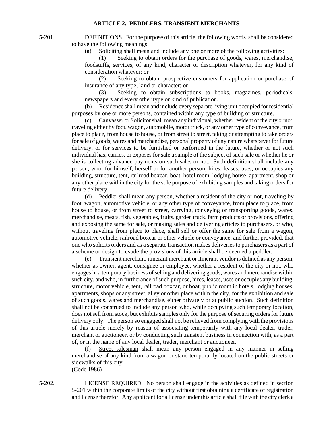5-201. DEFINITIONS. For the purpose of this article, the following words shall be considered to have the following meanings:

(a) Soliciting shall mean and include any one or more of the following activities:

 (1) Seeking to obtain orders for the purchase of goods, wares, merchandise, foodstuffs, services, of any kind, character or description whatever, for any kind of consideration whatever; or

 (2) Seeking to obtain prospective customers for application or purchase of insurance of any type, kind or character; or

 (3) Seeking to obtain subscriptions to books, magazines, periodicals, newspapers and every other type or kind of publication.

 (b) Residence shall mean and include every separate living unit occupied for residential purposes by one or more persons, contained within any type of building or structure.

 (c) Canvasser or Solicitor shall mean any individual, whether resident of the city or not, traveling either by foot, wagon, automobile, motor truck, or any other type of conveyance, from place to place, from house to house, or from street to street, taking or attempting to take orders for sale of goods, wares and merchandise, personal property of any nature whatsoever for future delivery, or for services to be furnished or performed in the future, whether or not such individual has, carries, or exposes for sale a sample of the subject of such sale or whether he or she is collecting advance payments on such sales or not. Such definition shall include any person, who, for himself, herself or for another person, hires, leases, uses, or occupies any building, structure, tent, railroad boxcar, boat, hotel room, lodging house, apartment, shop or any other place within the city for the sole purpose of exhibiting samples and taking orders for future delivery.

 (d) Peddler shall mean any person, whether a resident of the city or not, traveling by foot, wagon, automotive vehicle, or any other type of conveyance, from place to place, from house to house, or from street to street, carrying, conveying or transporting goods, wares, merchandise, meats, fish, vegetables, fruits, garden truck, farm products or provisions, offering and exposing the same for sale, or making sales and delivering articles to purchasers, or who, without traveling from place to place, shall sell or offer the same for sale from a wagon, automotive vehicle, railroad boxcar or other vehicle or conveyance, and further provided, that one who solicits orders and as a separate transaction makes deliveries to purchasers as a part of a scheme or design to evade the provisions of this article shall be deemed a peddler.

 (e) Transient merchant, itinerant merchant or itinerant vendor is defined as any person, whether as owner, agent, consignee or employee, whether a resident of the city or not, who engages in a temporary business of selling and delivering goods, wares and merchandise within such city, and who, in furtherance of such purpose, hires, leases, uses or occupies any building, structure, motor vehicle, tent, railroad boxcar, or boat, public room in hotels, lodging houses, apartments, shops or any street, alley or other place within the city, for the exhibition and sale of such goods, wares and merchandise, either privately or at public auction. Such definition shall not be construed to include any person who, while occupying such temporary location, does not sell from stock, but exhibits samples only for the purpose of securing orders for future delivery only. The person so engaged shall not be relieved from complying with the provisions of this article merely by reason of associating temporarily with any local dealer, trader, merchant or auctioneer, or by conducting such transient business in connection with, as a part of, or in the name of any local dealer, trader, merchant or auctioneer.

 (f) Street salesman shall mean any person engaged in any manner in selling merchandise of any kind from a wagon or stand temporarily located on the public streets or sidewalks of this city. (Code 1986)

5-202. LICENSE REQUIRED. No person shall engage in the activities as defined in section 5-201 within the corporate limits of the city without first obtaining a certificate of registration and license therefor. Any applicant for a license under this article shall file with the city clerk a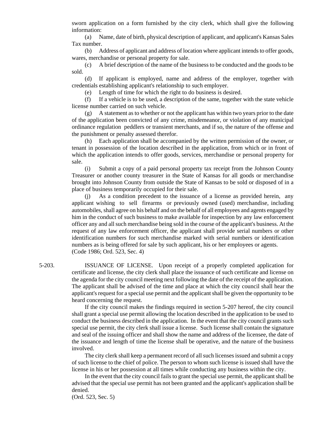sworn application on a form furnished by the city clerk, which shall give the following information:

 (a) Name, date of birth, physical description of applicant, and applicant's Kansas Sales Tax number.

 (b) Address of applicant and address of location where applicant intends to offer goods, wares, merchandise or personal property for sale.

 (c) A brief description of the name of the business to be conducted and the goods to be sold.

 (d) If applicant is employed, name and address of the employer, together with credentials establishing applicant's relationship to such employer.

(e) Length of time for which the right to do business is desired.

 (f) If a vehicle is to be used, a description of the same, together with the state vehicle license number carried on such vehicle.

 $(g)$  A statement as to whether or not the applicant has within two years prior to the date of the application been convicted of any crime, misdemeanor, or violation of any municipal ordinance regulation peddlers or transient merchants, and if so, the nature of the offense and the punishment or penalty assessed therefor.

 (h) Each application shall be accompanied by the written permission of the owner, or tenant in possession of the location described in the application, from which or in front of which the application intends to offer goods, services, merchandise or personal property for sale.

 (i) Submit a copy of a paid personal property tax receipt from the Johnson County Treasurer or another county treasurer in the State of Kansas for all goods or merchandise brought into Johnson County from outside the State of Kansas to be sold or disposed of in a place of business temporarily occupied for their sale.

 (j) As a condition precedent to the issuance of a license as provided herein, any applicant wishing to sell firearms or previously owned (used) merchandise, including automobiles, shall agree on his behalf and on the behalf of all employees and agents engaged by him in the conduct of such business to make available for inspection by any law enforcement officer any and all such merchandise being sold in the course of the applicant's business. At the request of any law enforcement officer, the applicant shall provide serial numbers or other identification numbers for such merchandise marked with serial numbers or identification numbers as is being offered for sale by such applicant, his or her employees or agents. (Code 1986; Ord. 523, Sec. 4)

5-203. ISSUANCE OF LICENSE. Upon receipt of a properly completed application for certificate and license, the city clerk shall place the issuance of such certificate and license on the agenda for the city council meeting next following the date of the receipt of the application. The applicant shall be advised of the time and place at which the city council shall hear the applicant's request for a special use permit and the applicant shall be given the opportunity to be heard concerning the request.

> If the city council makes the findings required in section 5-207 hereof, the city council shall grant a special use permit allowing the location described in the application to be used to conduct the business described in the application. In the event that the city council grants such special use permit, the city clerk shall issue a license. Such license shall contain the signature and seal of the issuing officer and shall show the name and address of the licensee, the date of the issuance and length of time the license shall be operative, and the nature of the business involved.

> The city clerk shall keep a permanent record of all such licenses issued and submit a copy of such license to the chief of police. The person to whom such license is issued shall have the license in his or her possession at all times while conducting any business within the city.

> In the event that the city council fails to grant the special use permit, the applicant shall be advised that the special use permit has not been granted and the applicant's application shall be denied.

(Ord. 523, Sec. 5)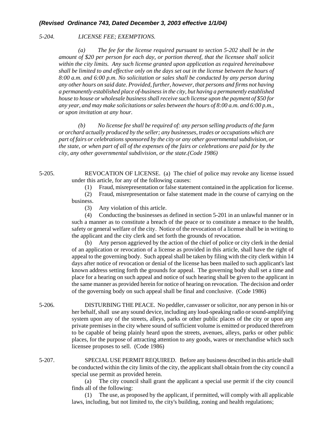#### *5-204. LICENSE FEE; EXEMPTIONS.*

*(a) The fee for the license required pursuant to section 5-202 shall be in the amount of \$20 per person for each day, or portion thereof, that the licensee shall solicit within the city limits. Any such license granted upon application as required hereinabove shall be limited to and effective only on the days set out in the license between the hours of 8:00 a.m. and 6:00 p.m. No solicitation or sales shall be conducted by any person during any other hours on said date. Provided, further, however, that persons and firms not having a permanently established place of-business in the city, but having a permanently established house to house or wholesale business shall receive such license upon the payment of \$50 for any year, and may make solicitations or sales between the hours of 8:00 a.m. and 6:00 p.m., or upon invitation at any hour.* 

*(b) No license fee shall be required of: any person selling products of the farm or orchard actually produced by the seller; any businesses, trades or occupations which are part of fairs or celebrations sponsored by the city or any other governmental subdivision, or the state, or when part of all of the expenses of the fairs or celebrations are paid for by the city, any other governmental subdivision, or the state.(Code 1986)* 

5-205. REVOCATION OF LICENSE. (a) The chief of police may revoke any license issued under this article, for any of the following causes:

(1) Fraud, misrepresentation or false statement contained in the application for license.

 (2) Fraud, misrepresentation or false statement made in the course of carrying on the business.

(3) Any violation of this article.

 (4) Conducting the businesses as defined in section 5-201 in an unlawful manner or in such a manner as to constitute a breach of the peace or to constitute a menace to the health, safety or general welfare of the city. Notice of the revocation of a license shall be in writing to the applicant and the city clerk and set forth the grounds of revocation.

 (b) Any person aggrieved by the action of the chief of police or city clerk in the denial of an application or revocation of a license as provided in this article, shall have the right of appeal to the governing body. Such appeal shall be taken by filing with the city clerk within 14 days after notice of revocation or denial of the license has been mailed to such applicant's last known address setting forth the grounds for appeal. The governing body shall set a time and place for a hearing on such appeal and notice of such hearing shall be given to the applicant in the same manner as provided herein for notice of hearing on revocation. The decision and order of the governing body on such appeal shall be final and conclusive. (Code 1986)

- 5-206. DISTURBING THE PEACE. No peddler, canvasser or solicitor, nor any person in his or her behalf, shall use any sound device, including any loud-speaking radio or sound-amplifying system upon any of the streets, alleys, parks or other public places of the city or upon any private premises in the city where sound of sufficient volume is emitted or produced therefrom to be capable of being plainly heard upon the streets, avenues, alleys, parks or other public places, for the purpose of attracting attention to any goods, wares or merchandise which such licensee proposes to sell. (Code 1986)
- 5-207. SPECIAL USE PERMIT REQUIRED. Before any business described in this article shall be conducted within the city limits of the city, the applicant shall obtain from the city council a special use permit as provided herein.

 (a) The city council shall grant the applicant a special use permit if the city council finds all of the following:

 (1) The use, as proposed by the applicant, if permitted, will comply with all applicable laws, including, but not limited to, the city's building, zoning and health regulations;